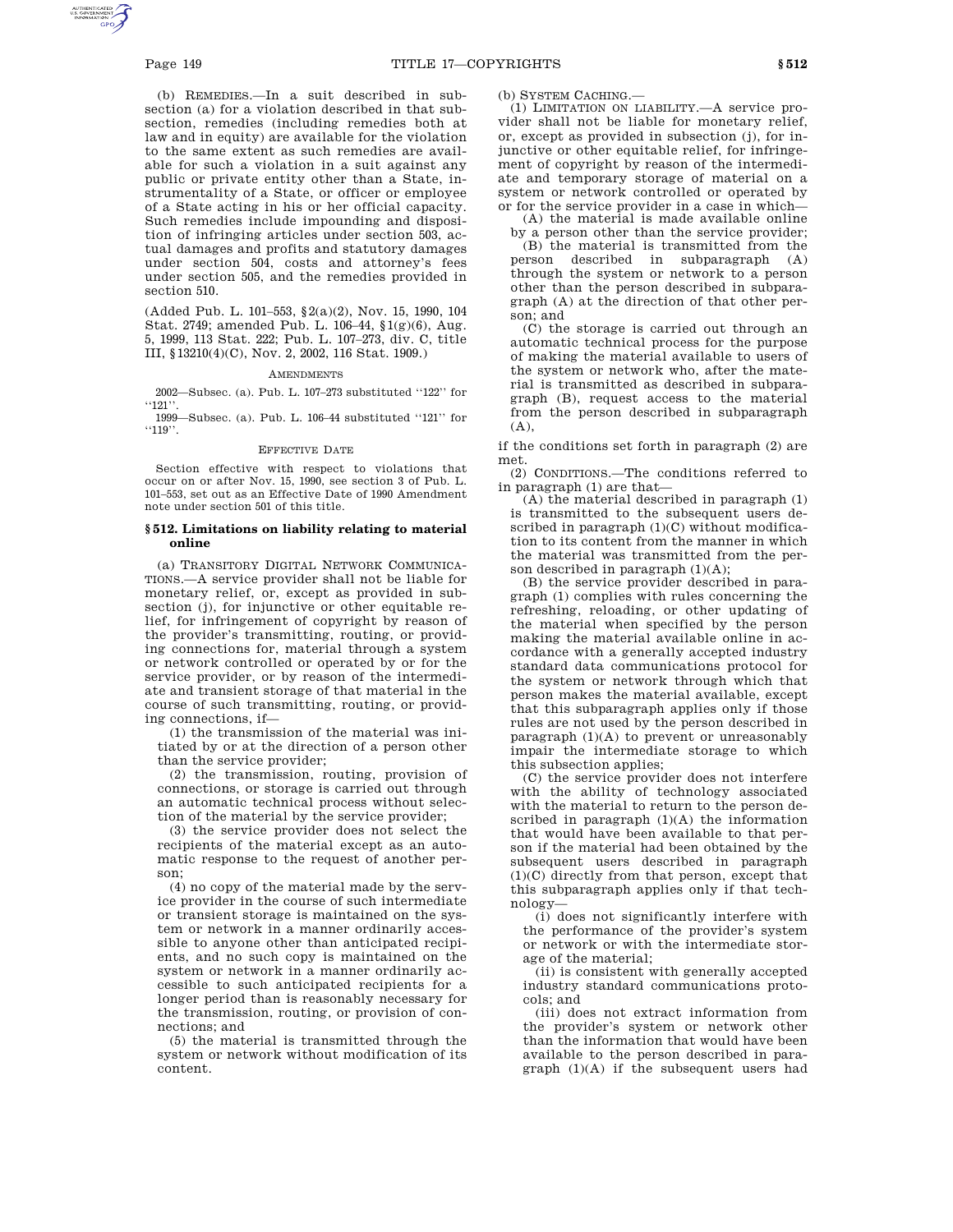(b) REMEDIES.—In a suit described in subsection (a) for a violation described in that subsection, remedies (including remedies both at law and in equity) are available for the violation to the same extent as such remedies are available for such a violation in a suit against any public or private entity other than a State, instrumentality of a State, or officer or employee of a State acting in his or her official capacity. Such remedies include impounding and disposition of infringing articles under section 503, actual damages and profits and statutory damages under section 504, costs and attorney's fees under section 505, and the remedies provided in section 510.

(Added Pub. L. 101–553, §2(a)(2), Nov. 15, 1990, 104 Stat. 2749; amended Pub. L. 106–44, §1(g)(6), Aug. 5, 1999, 113 Stat. 222; Pub. L. 107–273, div. C, title III, §13210(4)(C), Nov. 2, 2002, 116 Stat. 1909.)

## **AMENDMENTS**

2002—Subsec. (a). Pub. L. 107–273 substituted ''122'' for  $"121"$ 

1999—Subsec. (a). Pub. L. 106–44 substituted ''121'' for ''119''.

## EFFECTIVE DATE

Section effective with respect to violations that occur on or after Nov. 15, 1990, see section 3 of Pub. L. 101–553, set out as an Effective Date of 1990 Amendment note under section 501 of this title.

# **§ 512. Limitations on liability relating to material online**

(a) TRANSITORY DIGITAL NETWORK COMMUNICA-TIONS.—A service provider shall not be liable for monetary relief, or, except as provided in subsection (j), for injunctive or other equitable relief, for infringement of copyright by reason of the provider's transmitting, routing, or providing connections for, material through a system or network controlled or operated by or for the service provider, or by reason of the intermediate and transient storage of that material in the course of such transmitting, routing, or providing connections, if—

(1) the transmission of the material was initiated by or at the direction of a person other than the service provider;

(2) the transmission, routing, provision of connections, or storage is carried out through an automatic technical process without selection of the material by the service provider;

(3) the service provider does not select the recipients of the material except as an automatic response to the request of another person;

(4) no copy of the material made by the service provider in the course of such intermediate or transient storage is maintained on the system or network in a manner ordinarily accessible to anyone other than anticipated recipients, and no such copy is maintained on the system or network in a manner ordinarily accessible to such anticipated recipients for a longer period than is reasonably necessary for the transmission, routing, or provision of connections; and

(5) the material is transmitted through the system or network without modification of its content.

(b) SYSTEM CACHING.—

(1) LIMITATION ON LIABILITY.—A service provider shall not be liable for monetary relief, or, except as provided in subsection (j), for injunctive or other equitable relief, for infringement of copyright by reason of the intermediate and temporary storage of material on a system or network controlled or operated by or for the service provider in a case in which—

(A) the material is made available online by a person other than the service provider;

(B) the material is transmitted from the person described in subparagraph (A) through the system or network to a person other than the person described in subparagraph (A) at the direction of that other person; and

(C) the storage is carried out through an automatic technical process for the purpose of making the material available to users of the system or network who, after the material is transmitted as described in subparagraph (B), request access to the material from the person described in subparagraph (A),

if the conditions set forth in paragraph (2) are met.

(2) CONDITIONS.—The conditions referred to in paragraph (1) are that—

(A) the material described in paragraph (1) is transmitted to the subsequent users described in paragraph (1)(C) without modification to its content from the manner in which the material was transmitted from the person described in paragraph  $(1)(A)$ ;

(B) the service provider described in paragraph (1) complies with rules concerning the refreshing, reloading, or other updating of the material when specified by the person making the material available online in accordance with a generally accepted industry standard data communications protocol for the system or network through which that person makes the material available, except that this subparagraph applies only if those rules are not used by the person described in paragraph  $(1)(A)$  to prevent or unreasonably impair the intermediate storage to which this subsection applies;

(C) the service provider does not interfere with the ability of technology associated with the material to return to the person described in paragraph (1)(A) the information that would have been available to that person if the material had been obtained by the subsequent users described in paragraph (1)(C) directly from that person, except that this subparagraph applies only if that technology—

(i) does not significantly interfere with the performance of the provider's system or network or with the intermediate storage of the material;

(ii) is consistent with generally accepted industry standard communications protocols; and

(iii) does not extract information from the provider's system or network other than the information that would have been available to the person described in paragraph (1)(A) if the subsequent users had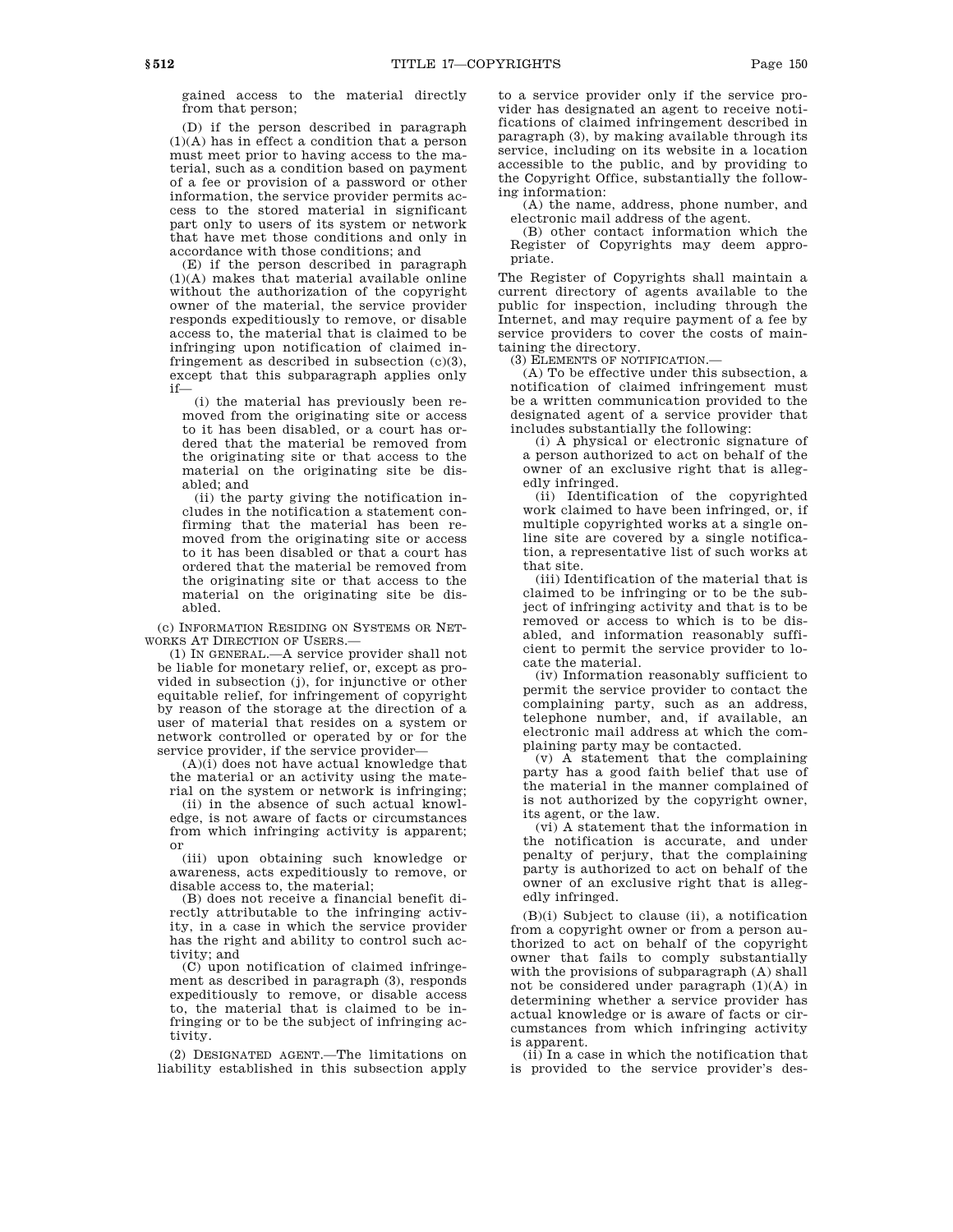gained access to the material directly from that person;

(D) if the person described in paragraph (1)(A) has in effect a condition that a person must meet prior to having access to the material, such as a condition based on payment of a fee or provision of a password or other information, the service provider permits access to the stored material in significant part only to users of its system or network that have met those conditions and only in accordance with those conditions; and

(E) if the person described in paragraph (1)(A) makes that material available online without the authorization of the copyright owner of the material, the service provider responds expeditiously to remove, or disable access to, the material that is claimed to be infringing upon notification of claimed infringement as described in subsection  $(c)(3)$ , except that this subparagraph applies only if—

(i) the material has previously been removed from the originating site or access to it has been disabled, or a court has ordered that the material be removed from the originating site or that access to the material on the originating site be disabled; and

(ii) the party giving the notification includes in the notification a statement confirming that the material has been removed from the originating site or access to it has been disabled or that a court has ordered that the material be removed from the originating site or that access to the material on the originating site be disabled.

(c) INFORMATION RESIDING ON SYSTEMS OR NET-WORKS AT DIRECTION OF USERS.—

(1) IN GENERAL.—A service provider shall not be liable for monetary relief, or, except as provided in subsection (j), for injunctive or other equitable relief, for infringement of copyright by reason of the storage at the direction of a user of material that resides on a system or network controlled or operated by or for the service provider, if the service provider—

 $(A)(i)$  does not have actual knowledge that the material or an activity using the material on the system or network is infringing;

(ii) in the absence of such actual knowledge, is not aware of facts or circumstances from which infringing activity is apparent; or

(iii) upon obtaining such knowledge or awareness, acts expeditiously to remove, or disable access to, the material;

(B) does not receive a financial benefit directly attributable to the infringing activity, in a case in which the service provider has the right and ability to control such activity; and

(C) upon notification of claimed infringement as described in paragraph (3), responds expeditiously to remove, or disable access to, the material that is claimed to be infringing or to be the subject of infringing activity.

(2) DESIGNATED AGENT.—The limitations on liability established in this subsection apply to a service provider only if the service provider has designated an agent to receive notifications of claimed infringement described in paragraph (3), by making available through its service, including on its website in a location accessible to the public, and by providing to the Copyright Office, substantially the following information:

(A) the name, address, phone number, and electronic mail address of the agent.

(B) other contact information which the Register of Copyrights may deem appropriate.

The Register of Copyrights shall maintain a current directory of agents available to the public for inspection, including through the Internet, and may require payment of a fee by service providers to cover the costs of maintaining the directory.

(3) ELEMENTS OF NOTIFICATION.—

(A) To be effective under this subsection, a notification of claimed infringement must be a written communication provided to the designated agent of a service provider that includes substantially the following:

(i) A physical or electronic signature of a person authorized to act on behalf of the owner of an exclusive right that is allegedly infringed.

(ii) Identification of the copyrighted work claimed to have been infringed, or, if multiple copyrighted works at a single online site are covered by a single notification, a representative list of such works at that site.

(iii) Identification of the material that is claimed to be infringing or to be the subject of infringing activity and that is to be removed or access to which is to be disabled, and information reasonably sufficient to permit the service provider to locate the material.

(iv) Information reasonably sufficient to permit the service provider to contact the complaining party, such as an address, telephone number, and, if available, an electronic mail address at which the complaining party may be contacted.

(v) A statement that the complaining party has a good faith belief that use of the material in the manner complained of is not authorized by the copyright owner, its agent, or the law.

(vi) A statement that the information in the notification is accurate, and under penalty of perjury, that the complaining party is authorized to act on behalf of the owner of an exclusive right that is allegedly infringed.

(B)(i) Subject to clause (ii), a notification from a copyright owner or from a person authorized to act on behalf of the copyright owner that fails to comply substantially with the provisions of subparagraph (A) shall not be considered under paragraph (1)(A) in determining whether a service provider has actual knowledge or is aware of facts or circumstances from which infringing activity is apparent.

 $(i\overline{i})$  In a case in which the notification that is provided to the service provider's des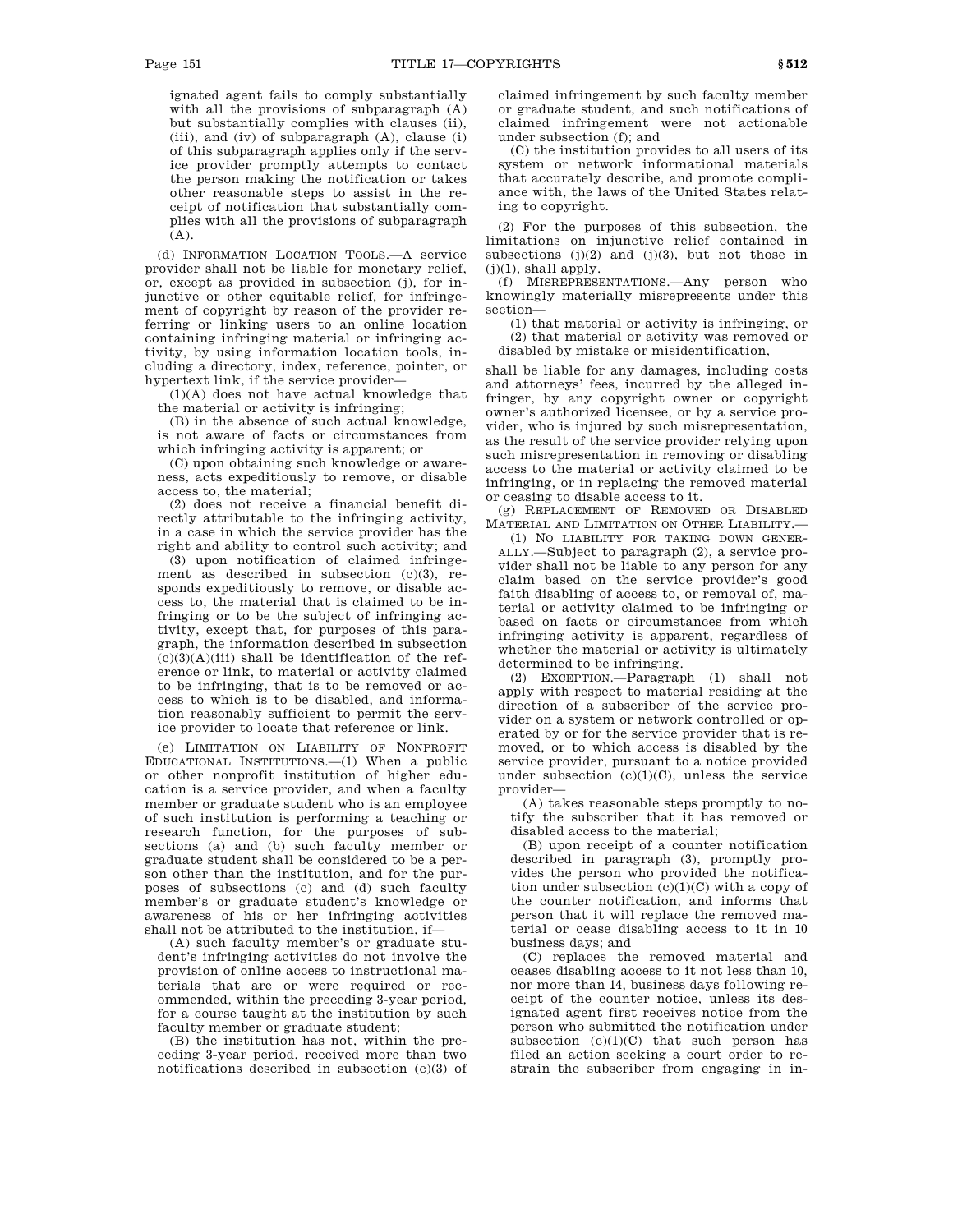ignated agent fails to comply substantially with all the provisions of subparagraph (A) but substantially complies with clauses (ii), (iii), and (iv) of subparagraph (A), clause (i) of this subparagraph applies only if the service provider promptly attempts to contact the person making the notification or takes other reasonable steps to assist in the receipt of notification that substantially complies with all the provisions of subparagraph  $(A)$ .

(d) INFORMATION LOCATION TOOLS.—A service provider shall not be liable for monetary relief, or, except as provided in subsection (j), for injunctive or other equitable relief, for infringement of copyright by reason of the provider referring or linking users to an online location containing infringing material or infringing activity, by using information location tools, including a directory, index, reference, pointer, or hypertext link, if the service provider—

(1)(A) does not have actual knowledge that the material or activity is infringing;

(B) in the absence of such actual knowledge, is not aware of facts or circumstances from which infringing activity is apparent; or

(C) upon obtaining such knowledge or awareness, acts expeditiously to remove, or disable access to, the material;

(2) does not receive a financial benefit directly attributable to the infringing activity, in a case in which the service provider has the right and ability to control such activity; and

(3) upon notification of claimed infringement as described in subsection (c)(3), responds expeditiously to remove, or disable access to, the material that is claimed to be infringing or to be the subject of infringing activity, except that, for purposes of this paragraph, the information described in subsection  $(c)(3)(A)(iii)$  shall be identification of the reference or link, to material or activity claimed to be infringing, that is to be removed or access to which is to be disabled, and information reasonably sufficient to permit the service provider to locate that reference or link.

(e) LIMITATION ON LIABILITY OF NONPROFIT EDUCATIONAL INSTITUTIONS.—(1) When a public or other nonprofit institution of higher education is a service provider, and when a faculty member or graduate student who is an employee of such institution is performing a teaching or research function, for the purposes of subsections (a) and (b) such faculty member or graduate student shall be considered to be a person other than the institution, and for the purposes of subsections (c) and (d) such faculty member's or graduate student's knowledge or awareness of his or her infringing activities shall not be attributed to the institution, if—

(A) such faculty member's or graduate student's infringing activities do not involve the provision of online access to instructional materials that are or were required or recommended, within the preceding 3-year period, for a course taught at the institution by such faculty member or graduate student;

(B) the institution has not, within the preceding 3-year period, received more than two notifications described in subsection (c)(3) of claimed infringement by such faculty member or graduate student, and such notifications of claimed infringement were not actionable under subsection (f); and

(C) the institution provides to all users of its system or network informational materials that accurately describe, and promote compliance with, the laws of the United States relating to copyright.

(2) For the purposes of this subsection, the limitations on injunctive relief contained in subsections (j)(2) and (j)(3), but not those in  $(j)(1)$ , shall apply.

(f) MISREPRESENTATIONS.—Any person who knowingly materially misrepresents under this section—

(1) that material or activity is infringing, or (2) that material or activity was removed or

disabled by mistake or misidentification,

shall be liable for any damages, including costs and attorneys' fees, incurred by the alleged infringer, by any copyright owner or copyright owner's authorized licensee, or by a service provider, who is injured by such misrepresentation, as the result of the service provider relying upon such misrepresentation in removing or disabling access to the material or activity claimed to be infringing, or in replacing the removed material or ceasing to disable access to it.

(g) REPLACEMENT OF REMOVED OR DISABLED MATERIAL AND LIMITATION ON OTHER LIABILITY.—

(1) NO LIABILITY FOR TAKING DOWN GENER-ALLY.—Subject to paragraph (2), a service provider shall not be liable to any person for any claim based on the service provider's good faith disabling of access to, or removal of, material or activity claimed to be infringing or based on facts or circumstances from which infringing activity is apparent, regardless of whether the material or activity is ultimately determined to be infringing.

(2) EXCEPTION.—Paragraph (1) shall not apply with respect to material residing at the direction of a subscriber of the service provider on a system or network controlled or operated by or for the service provider that is removed, or to which access is disabled by the service provider, pursuant to a notice provided under subsection  $(c)(1)(C)$ , unless the service provider—

(A) takes reasonable steps promptly to notify the subscriber that it has removed or disabled access to the material;

(B) upon receipt of a counter notification described in paragraph (3), promptly provides the person who provided the notification under subsection  $(c)(1)(C)$  with a copy of the counter notification, and informs that person that it will replace the removed material or cease disabling access to it in 10 business days; and

(C) replaces the removed material and ceases disabling access to it not less than 10, nor more than 14, business days following receipt of the counter notice, unless its designated agent first receives notice from the person who submitted the notification under subsection  $(c)(1)(C)$  that such person has filed an action seeking a court order to restrain the subscriber from engaging in in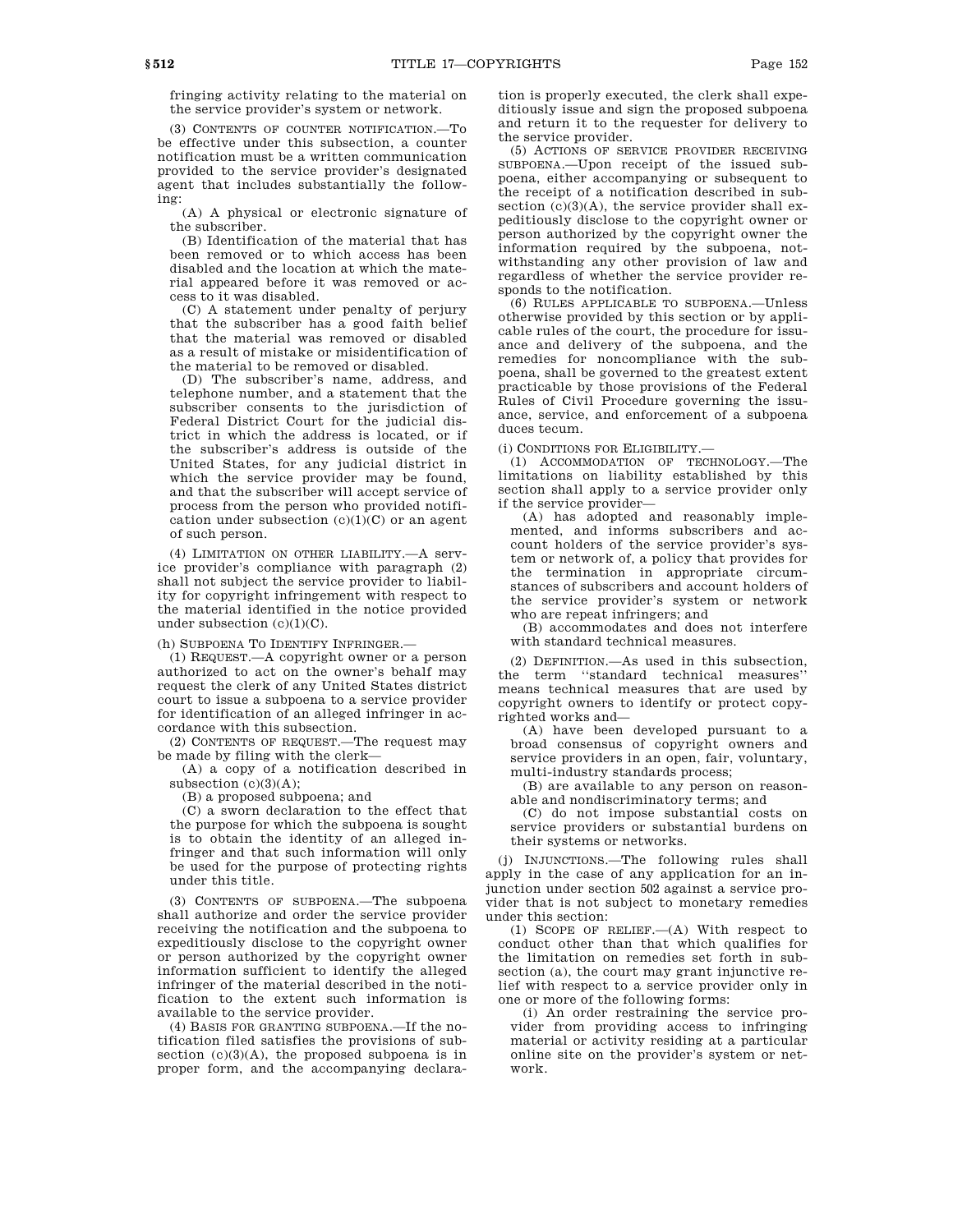fringing activity relating to the material on the service provider's system or network.

(3) CONTENTS OF COUNTER NOTIFICATION.—To be effective under this subsection, a counter notification must be a written communication provided to the service provider's designated agent that includes substantially the following:

(A) A physical or electronic signature of the subscriber.

(B) Identification of the material that has been removed or to which access has been disabled and the location at which the material appeared before it was removed or access to it was disabled.

(C) A statement under penalty of perjury that the subscriber has a good faith belief that the material was removed or disabled as a result of mistake or misidentification of the material to be removed or disabled.

(D) The subscriber's name, address, and telephone number, and a statement that the subscriber consents to the jurisdiction of Federal District Court for the judicial district in which the address is located, or if the subscriber's address is outside of the United States, for any judicial district in which the service provider may be found, and that the subscriber will accept service of process from the person who provided notification under subsection  $(c)(1)(C)$  or an agent of such person.

(4) LIMITATION ON OTHER LIABILITY.—A service provider's compliance with paragraph (2) shall not subject the service provider to liability for copyright infringement with respect to the material identified in the notice provided under subsection  $(c)(1)(C)$ .

(h) SUBPOENA TO IDENTIFY INFRINGER.—

(1) REQUEST.—A copyright owner or a person authorized to act on the owner's behalf may request the clerk of any United States district court to issue a subpoena to a service provider for identification of an alleged infringer in accordance with this subsection.

(2) CONTENTS OF REQUEST.—The request may be made by filing with the clerk—

(A) a copy of a notification described in subsection  $(c)(3)(A);$ 

(B) a proposed subpoena; and

(C) a sworn declaration to the effect that the purpose for which the subpoena is sought is to obtain the identity of an alleged infringer and that such information will only be used for the purpose of protecting rights under this title.

(3) CONTENTS OF SUBPOENA.—The subpoena shall authorize and order the service provider receiving the notification and the subpoena to expeditiously disclose to the copyright owner or person authorized by the copyright owner information sufficient to identify the alleged infringer of the material described in the notification to the extent such information is available to the service provider.

(4) BASIS FOR GRANTING SUBPOENA.—If the notification filed satisfies the provisions of subsection  $(c)(3)(A)$ , the proposed subpoena is in proper form, and the accompanying declaration is properly executed, the clerk shall expeditiously issue and sign the proposed subpoena and return it to the requester for delivery to the service provider.

(5) ACTIONS OF SERVICE PROVIDER RECEIVING SUBPOENA.—Upon receipt of the issued subpoena, either accompanying or subsequent to the receipt of a notification described in subsection  $(c)(3)(A)$ , the service provider shall expeditiously disclose to the copyright owner or person authorized by the copyright owner the information required by the subpoena, notwithstanding any other provision of law and regardless of whether the service provider responds to the notification.

(6) RULES APPLICABLE TO SUBPOENA.—Unless otherwise provided by this section or by applicable rules of the court, the procedure for issuance and delivery of the subpoena, and the remedies for noncompliance with the subpoena, shall be governed to the greatest extent practicable by those provisions of the Federal Rules of Civil Procedure governing the issuance, service, and enforcement of a subpoena duces tecum.

(i) CONDITIONS FOR ELIGIBILITY.—

(1) ACCOMMODATION OF TECHNOLOGY.—The limitations on liability established by this section shall apply to a service provider only if the service provider—

(A) has adopted and reasonably implemented, and informs subscribers and account holders of the service provider's system or network of, a policy that provides for the termination in appropriate circumstances of subscribers and account holders of the service provider's system or network who are repeat infringers; and

(B) accommodates and does not interfere with standard technical measures.

(2) DEFINITION.—As used in this subsection, the term ''standard technical measures'' means technical measures that are used by copyright owners to identify or protect copyrighted works and—

(A) have been developed pursuant to a broad consensus of copyright owners and service providers in an open, fair, voluntary, multi-industry standards process;

(B) are available to any person on reasonable and nondiscriminatory terms; and

(C) do not impose substantial costs on service providers or substantial burdens on their systems or networks.

(j) INJUNCTIONS.—The following rules shall apply in the case of any application for an injunction under section 502 against a service provider that is not subject to monetary remedies under this section:

(1) SCOPE OF RELIEF.—(A) With respect to conduct other than that which qualifies for the limitation on remedies set forth in subsection (a), the court may grant injunctive relief with respect to a service provider only in one or more of the following forms:

(i) An order restraining the service provider from providing access to infringing material or activity residing at a particular online site on the provider's system or network.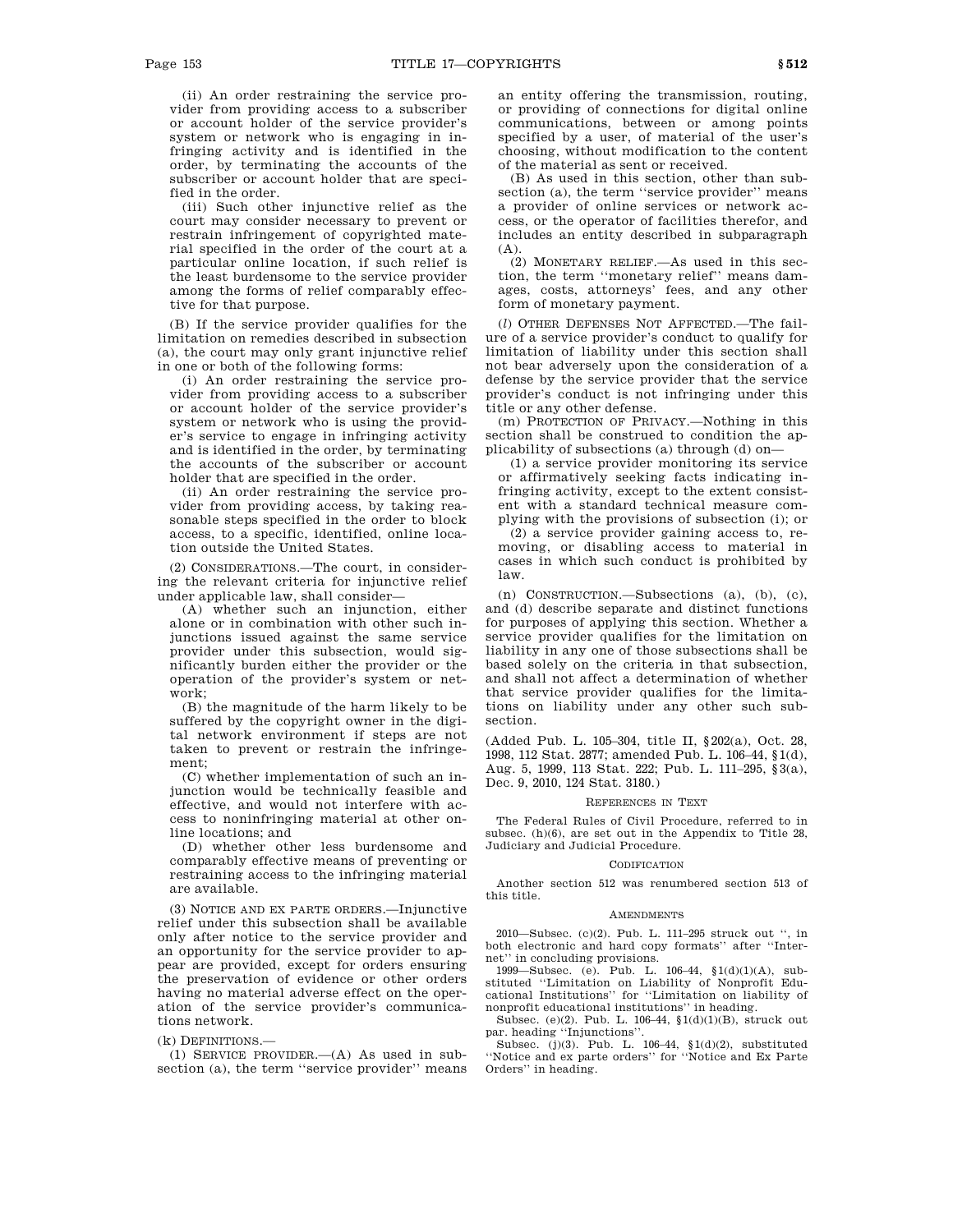(ii) An order restraining the service provider from providing access to a subscriber or account holder of the service provider's system or network who is engaging in infringing activity and is identified in the order, by terminating the accounts of the subscriber or account holder that are specified in the order.

(iii) Such other injunctive relief as the court may consider necessary to prevent or restrain infringement of copyrighted material specified in the order of the court at a particular online location, if such relief is the least burdensome to the service provider among the forms of relief comparably effective for that purpose.

(B) If the service provider qualifies for the limitation on remedies described in subsection (a), the court may only grant injunctive relief in one or both of the following forms:

(i) An order restraining the service provider from providing access to a subscriber or account holder of the service provider's system or network who is using the provider's service to engage in infringing activity and is identified in the order, by terminating the accounts of the subscriber or account holder that are specified in the order.

(ii) An order restraining the service provider from providing access, by taking reasonable steps specified in the order to block access, to a specific, identified, online location outside the United States.

(2) CONSIDERATIONS.—The court, in considering the relevant criteria for injunctive relief under applicable law, shall consider—

(A) whether such an injunction, either alone or in combination with other such injunctions issued against the same service provider under this subsection, would significantly burden either the provider or the operation of the provider's system or network;

(B) the magnitude of the harm likely to be suffered by the copyright owner in the digital network environment if steps are not taken to prevent or restrain the infringement;

(C) whether implementation of such an injunction would be technically feasible and effective, and would not interfere with access to noninfringing material at other online locations; and

(D) whether other less burdensome and comparably effective means of preventing or restraining access to the infringing material are available.

(3) NOTICE AND EX PARTE ORDERS.—Injunctive relief under this subsection shall be available only after notice to the service provider and an opportunity for the service provider to appear are provided, except for orders ensuring the preservation of evidence or other orders having no material adverse effect on the operation of the service provider's communications network.

# (k) DEFINITIONS.—

(1) SERVICE PROVIDER.—(A) As used in subsection (a), the term ''service provider'' means an entity offering the transmission, routing, or providing of connections for digital online communications, between or among points specified by a user, of material of the user's choosing, without modification to the content of the material as sent or received.

(B) As used in this section, other than subsection (a), the term ''service provider'' means a provider of online services or network access, or the operator of facilities therefor, and includes an entity described in subparagraph (A).

(2) MONETARY RELIEF.—As used in this section, the term ''monetary relief'' means damages, costs, attorneys' fees, and any other form of monetary payment.

(*l*) OTHER DEFENSES NOT AFFECTED.—The failure of a service provider's conduct to qualify for limitation of liability under this section shall not bear adversely upon the consideration of a defense by the service provider that the service provider's conduct is not infringing under this title or any other defense.

(m) PROTECTION OF PRIVACY.—Nothing in this section shall be construed to condition the applicability of subsections (a) through (d) on—

(1) a service provider monitoring its service or affirmatively seeking facts indicating infringing activity, except to the extent consistent with a standard technical measure complying with the provisions of subsection (i); or

(2) a service provider gaining access to, removing, or disabling access to material in cases in which such conduct is prohibited by law.

(n) CONSTRUCTION.—Subsections (a), (b), (c), and (d) describe separate and distinct functions for purposes of applying this section. Whether a service provider qualifies for the limitation on liability in any one of those subsections shall be based solely on the criteria in that subsection, and shall not affect a determination of whether that service provider qualifies for the limitations on liability under any other such subsection.

(Added Pub. L. 105–304, title II, §202(a), Oct. 28, 1998, 112 Stat. 2877; amended Pub. L. 106–44, §1(d), Aug. 5, 1999, 113 Stat. 222; Pub. L. 111–295, §3(a), Dec. 9, 2010, 124 Stat. 3180.)

## REFERENCES IN TEXT

The Federal Rules of Civil Procedure, referred to in subsec. (h)(6), are set out in the Appendix to Title 28, Judiciary and Judicial Procedure.

## CODIFICATION

Another section 512 was renumbered section 513 of this title.

#### **AMENDMENTS**

2010—Subsec. (c)(2). Pub. L. 111–295 struck out '', in both electronic and hard copy formats'' after ''Internet'' in concluding provisions.

1999—Subsec. (e). Pub. L. 106–44, §1(d)(1)(A), substituted ''Limitation on Liability of Nonprofit Educational Institutions'' for ''Limitation on liability of nonprofit educational institutions'' in heading.

Subsec. (e)(2). Pub. L. 106–44, §1(d)(1)(B), struck out par. heading ''Injunctions''.

Subsec. (j)(3). Pub. L.  $106-44$ ,  $1(d)(2)$ , substituted ''Notice and ex parte orders'' for ''Notice and Ex Parte Orders'' in heading.